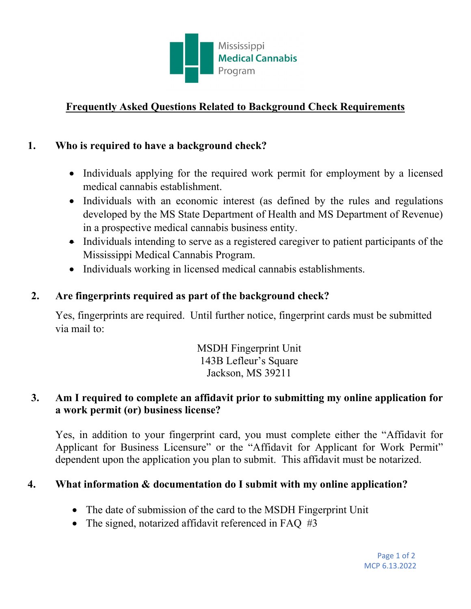

# **Frequently Asked Questions Related to Background Check Requirements**

## **1. Who is required to have a background check?**

- Individuals applying for the required work permit for employment by a licensed medical cannabis establishment.
- Individuals with an economic interest (as defined by the rules and regulations developed by the MS State Department of Health and MS Department of Revenue) in a prospective medical cannabis business entity.
- Individuals intending to serve as a registered caregiver to patient participants of the Mississippi Medical Cannabis Program.
- Individuals working in licensed medical cannabis establishments.

## **2. Are fingerprints required as part of the background check?**

Yes, fingerprints are required. Until further notice, fingerprint cards must be submitted via mail to:

> MSDH Fingerprint Unit 143B Lefleur's Square Jackson, MS 39211

#### **3. Am I required to complete an affidavit prior to submitting my online application for a work permit (or) business license?**

Yes, in addition to your fingerprint card, you must complete either the "Affidavit for Applicant for Business Licensure" or the "Affidavit for Applicant for Work Permit" dependent upon the application you plan to submit. This affidavit must be notarized.

#### **4. What information & documentation do I submit with my online application?**

- The date of submission of the card to the MSDH Fingerprint Unit
- The signed, notarized affidavit referenced in FAQ #3